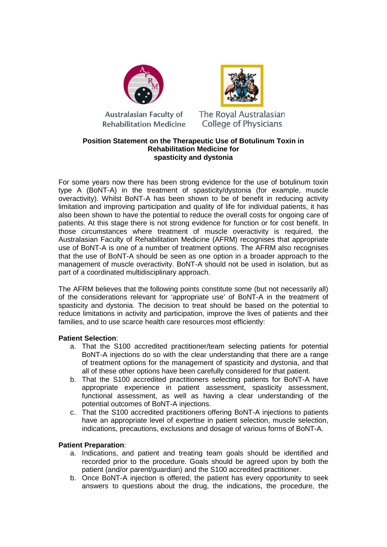

**Australasian Faculty of Rehabilitation Medicine** 



The Roval Australasian **College of Physicians** 

## **Position Statement on the Therapeutic Use of Botulinum Toxin in Rehabilitation Medicine for spasticity and dystonia**

For some years now there has been strong evidence for the use of botulinum toxin type A (BoNT-A) in the treatment of spasticity/dystonia (for example, muscle overactivity). Whilst BoNT-A has been shown to be of benefit in reducing activity limitation and improving participation and quality of life for individual patients, it has also been shown to have the potential to reduce the overall costs for ongoing care of patients. At this stage there is not strong evidence for function or for cost benefit. In those circumstances where treatment of muscle overactivity is required, the Australasian Faculty of Rehabilitation Medicine (AFRM) recognises that appropriate use of BoNT-A is one of a number of treatment options. The AFRM also recognises that the use of BoNT-A should be seen as one option in a broader approach to the management of muscle overactivity. BoNT-A should not be used in isolation, but as part of a coordinated multidisciplinary approach.

The AFRM believes that the following points constitute some (but not necessarily all) of the considerations relevant for 'appropriate use' of BoNT-A in the treatment of spasticity and dystonia. The decision to treat should be based on the potential to reduce limitations in activity and participation, improve the lives of patients and their families, and to use scarce health care resources most efficiently:

# **Patient Selection**:

- a. That the S100 accredited practitioner/team selecting patients for potential BoNT-A injections do so with the clear understanding that there are a range of treatment options for the management of spasticity and dystonia, and that all of these other options have been carefully considered for that patient.
- b. That the S100 accredited practitioners selecting patients for BoNT-A have appropriate experience in patient assessment, spasticity assessment, functional assessment, as well as having a clear understanding of the potential outcomes of BoNT-A injections.
- c. That the S100 accredited practitioners offering BoNT-A injections to patients have an appropriate level of expertise in patient selection, muscle selection, indications, precautions, exclusions and dosage of various forms of BoNT-A.

# **Patient Preparation**:

- a. Indications, and patient and treating team goals should be identified and recorded prior to the procedure. Goals should be agreed upon by both the patient (and/or parent/guardian) and the S100 accredited practitioner.
- b. Once BoNT-A injection is offered, the patient has every opportunity to seek answers to questions about the drug, the indications, the procedure, the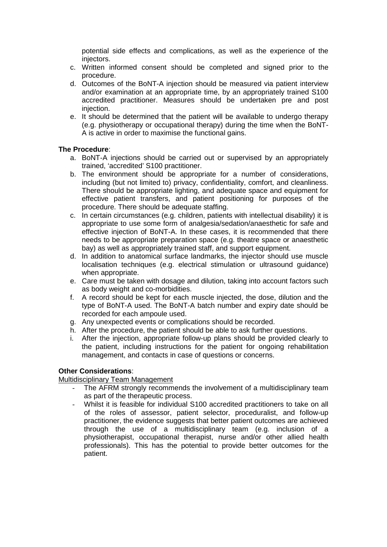potential side effects and complications, as well as the experience of the injectors.

- c. Written informed consent should be completed and signed prior to the procedure.
- d. Outcomes of the BoNT-A injection should be measured via patient interview and/or examination at an appropriate time, by an appropriately trained S100 accredited practitioner. Measures should be undertaken pre and post injection.
- e. It should be determined that the patient will be available to undergo therapy (e.g. physiotherapy or occupational therapy) during the time when the BoNT-A is active in order to maximise the functional gains.

## **The Procedure**:

- a. BoNT-A injections should be carried out or supervised by an appropriately trained, 'accredited' S100 practitioner.
- b. The environment should be appropriate for a number of considerations, including (but not limited to) privacy, confidentiality, comfort, and cleanliness. There should be appropriate lighting, and adequate space and equipment for effective patient transfers, and patient positioning for purposes of the procedure. There should be adequate staffing.
- c. In certain circumstances (e.g. children, patients with intellectual disability) it is appropriate to use some form of analgesia/sedation/anaesthetic for safe and effective injection of BoNT-A. In these cases, it is recommended that there needs to be appropriate preparation space (e.g. theatre space or anaesthetic bay) as well as appropriately trained staff, and support equipment.
- d. In addition to anatomical surface landmarks, the injector should use muscle localisation techniques (e.g. electrical stimulation or ultrasound guidance) when appropriate.
- e. Care must be taken with dosage and dilution, taking into account factors such as body weight and co-morbidities.
- f. A record should be kept for each muscle injected, the dose, dilution and the type of BoNT-A used. The BoNT-A batch number and expiry date should be recorded for each ampoule used.
- g. Any unexpected events or complications should be recorded.
- h. After the procedure, the patient should be able to ask further questions.
- i. After the injection, appropriate follow-up plans should be provided clearly to the patient, including instructions for the patient for ongoing rehabilitation management, and contacts in case of questions or concerns.

### **Other Considerations**:

### Multidisciplinary Team Management

- The AFRM strongly recommends the involvement of a multidisciplinary team as part of the therapeutic process.
- Whilst it is feasible for individual S100 accredited practitioners to take on all of the roles of assessor, patient selector, proceduralist, and follow-up practitioner, the evidence suggests that better patient outcomes are achieved through the use of a multidisciplinary team (e.g. inclusion of a physiotherapist, occupational therapist, nurse and/or other allied health professionals). This has the potential to provide better outcomes for the patient.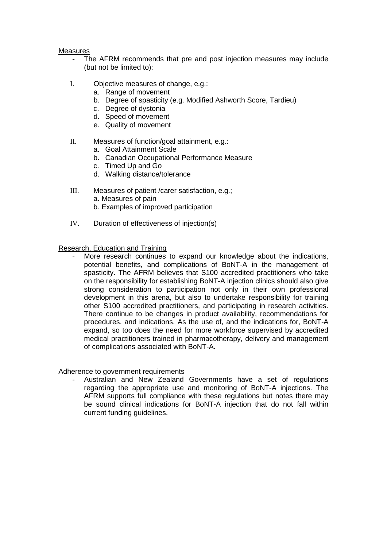### Measures

- The AFRM recommends that pre and post injection measures may include (but not be limited to):
- I. Objective measures of change, e.g.:
	- a. Range of movement
	- b. Degree of spasticity (e.g. Modified Ashworth Score, Tardieu)
	- c. Degree of dystonia
	- d. Speed of movement
	- e. Quality of movement
- II. Measures of function/goal attainment, e.g.:
	- a. Goal Attainment Scale
	- b. Canadian Occupational Performance Measure
	- c. Timed Up and Go
	- d. Walking distance/tolerance
- III. Measures of patient /carer satisfaction, e.g.; a. Measures of pain b. Examples of improved participation
- IV. Duration of effectiveness of injection(s)

## Research, Education and Training

More research continues to expand our knowledge about the indications, potential benefits, and complications of BoNT-A in the management of spasticity. The AFRM believes that S100 accredited practitioners who take on the responsibility for establishing BoNT-A injection clinics should also give strong consideration to participation not only in their own professional development in this arena, but also to undertake responsibility for training other S100 accredited practitioners, and participating in research activities. There continue to be changes in product availability, recommendations for procedures, and indications. As the use of, and the indications for, BoNT-A expand, so too does the need for more workforce supervised by accredited medical practitioners trained in pharmacotherapy, delivery and management of complications associated with BoNT-A.

### Adherence to government requirements

Australian and New Zealand Governments have a set of regulations regarding the appropriate use and monitoring of BoNT-A injections. The AFRM supports full compliance with these regulations but notes there may be sound clinical indications for BoNT-A injection that do not fall within current funding guidelines.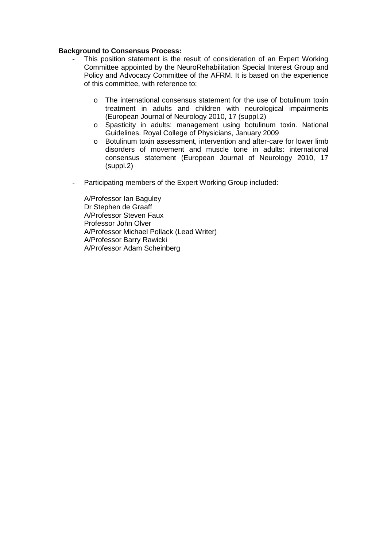## **Background to Consensus Process:**

- This position statement is the result of consideration of an Expert Working Committee appointed by the NeuroRehabilitation Special Interest Group and Policy and Advocacy Committee of the AFRM. It is based on the experience of this committee, with reference to:
	- o The international consensus statement for the use of botulinum toxin treatment in adults and children with neurological impairments (European Journal of Neurology 2010, 17 (suppl.2)
	- o Spasticity in adults: management using botulinum toxin. National Guidelines. Royal College of Physicians, January 2009
	- o Botulinum toxin assessment, intervention and after-care for lower limb disorders of movement and muscle tone in adults: international consensus statement (European Journal of Neurology 2010, 17 (suppl.2)
- Participating members of the Expert Working Group included:

A/Professor Ian Baguley Dr Stephen de Graaff A/Professor Steven Faux Professor John Olver A/Professor Michael Pollack (Lead Writer) A/Professor Barry Rawicki A/Professor Adam Scheinberg